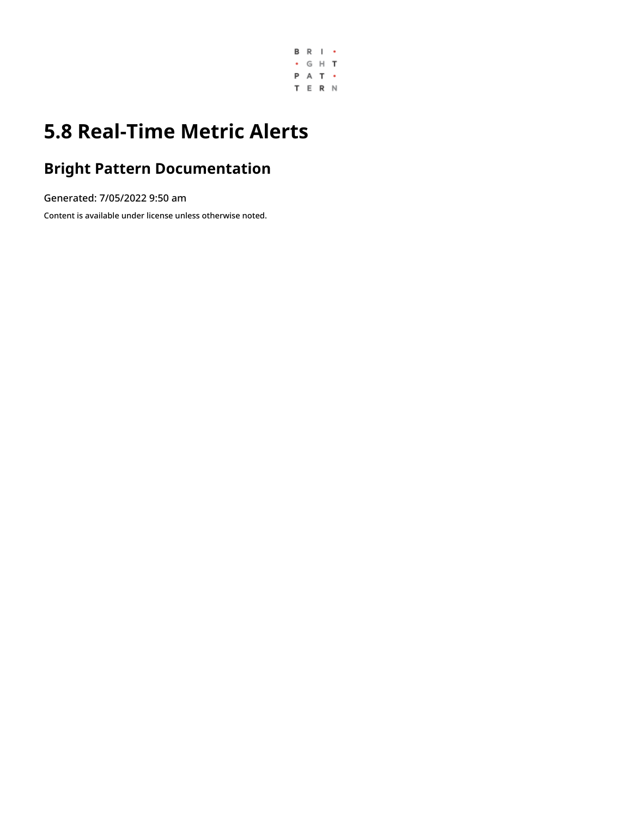

## **5.8 Real-Time Metric Alerts**

### **Bright Pattern Documentation**

Generated: 7/05/2022 9:50 am

Content is available under license unless otherwise noted.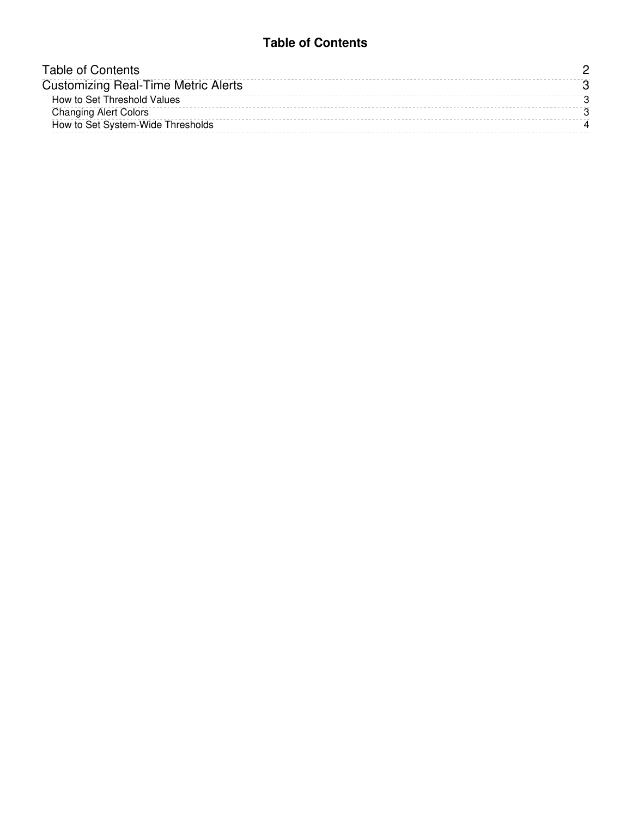#### **Table of Contents**

<span id="page-1-0"></span>

| <b>Table of Contents</b>                   |  |
|--------------------------------------------|--|
| <b>Customizing Real-Time Metric Alerts</b> |  |
| How to Set Threshold Values                |  |
| <b>Changing Alert Colors</b>               |  |
| How to Set System-Wide Thresholds          |  |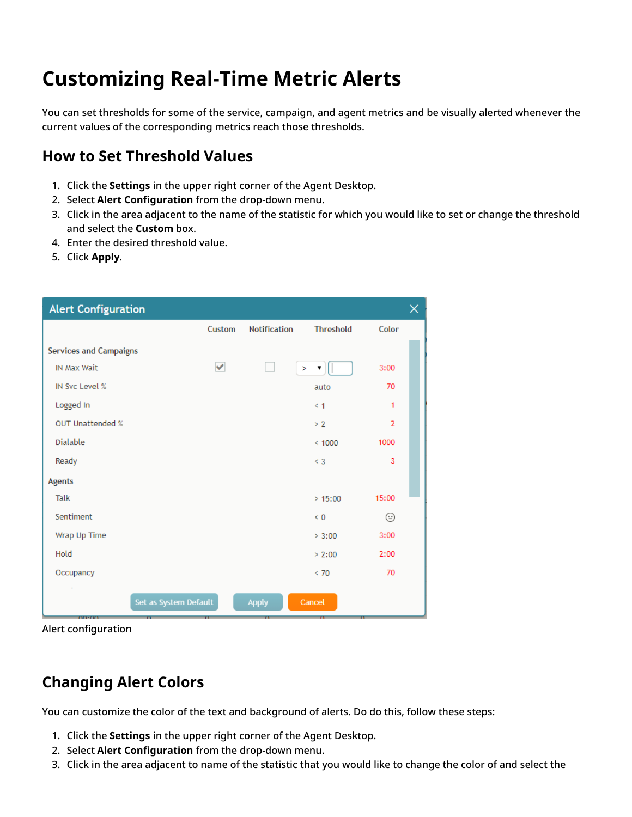# <span id="page-2-0"></span>**Customizing Real-Time Metric Alerts**

You can set thresholds for some of the service, campaign, and agent metrics and be visually alerted whenever the current values of the corresponding metrics reach those thresholds.

### <span id="page-2-1"></span>**How to Set Threshold Values**

- 1. Click the **Settings** in the upper right corner of the Agent Desktop.
- 2. Select **Alert Configuration** from the drop-down menu.
- 3. Click in the area adjacent to the name of the statistic for which you would like to set or change the threshold and select the **Custom** box.
- 4. Enter the desired threshold value.
- 5. Click **Apply**.

| <b>Alert Configuration</b>    |              |                     |                  |                | X |
|-------------------------------|--------------|---------------------|------------------|----------------|---|
|                               | Custom       | <b>Notification</b> | <b>Threshold</b> | Color          |   |
| <b>Services and Campaigns</b> |              |                     |                  |                |   |
| IN Max Wait                   | $\checkmark$ | $\geq$              | ۷.               | 3:00           |   |
| IN Svc Level %                |              |                     | auto             | 70             |   |
| Logged In                     |              |                     | $\leq 1$         | 1              |   |
| <b>OUT Unattended %</b>       |              |                     | > 2              | $\overline{2}$ |   |
| Dialable                      |              |                     | < 1000           | 1000           |   |
| Ready                         |              |                     | $<$ 3            | 3              |   |
| <b>Agents</b>                 |              |                     |                  |                |   |
| <b>Talk</b>                   |              |                     | >15:00           | 15:00          |   |
| Sentiment                     |              |                     | $\leq 0$         | ⊕              |   |
| Wrap Up Time                  |              |                     | > 3:00           | 3:00           |   |
| Hold                          |              |                     | > 2:00           | 2:00           |   |
| Occupancy                     |              |                     | < 70             | 70             |   |
| Set as System Default         |              | <b>Apply</b>        | Cancel           |                |   |

Alert configuration

### <span id="page-2-2"></span>**Changing Alert Colors**

You can customize the color of the text and background of alerts. Do do this, follow these steps:

- 1. Click the **Settings** in the upper right corner of the Agent Desktop.
- 2. Select **Alert Configuration** from the drop-down menu.
- 3. Click in the area adjacent to name of the statistic that you would like to change the color of and select the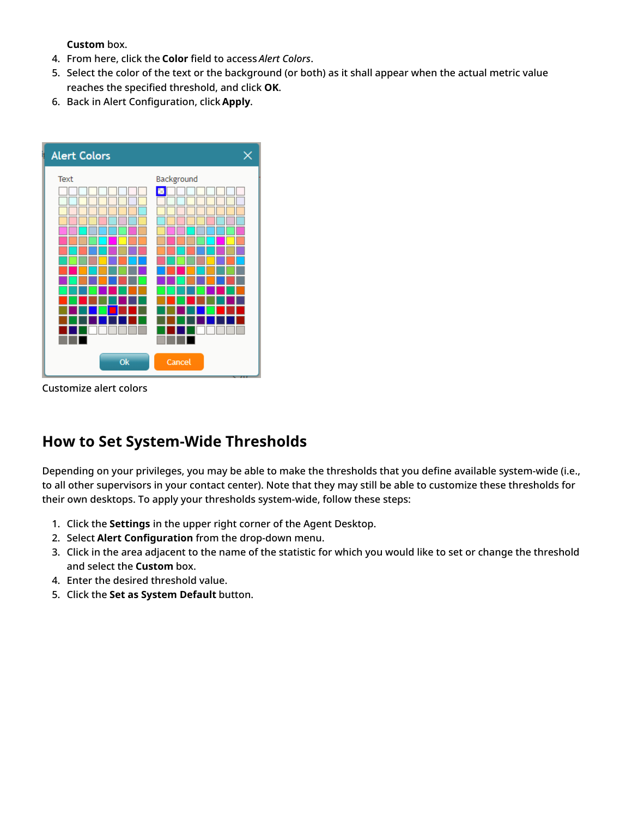**Custom** box.

- 4. From here, click the **Color** field to access *Alert Colors*.
- 5. Select the color of the text or the background (or both) as it shall appear when the actual metric value reaches the specified threshold, and click **OK**.
- 6. Back in Alert Configuration, click **Apply**.



Customize alert colors

### <span id="page-3-0"></span>**How to Set System-Wide Thresholds**

Depending on your privileges, you may be able to make the thresholds that you define available system-wide (i.e., to all other supervisors in your contact center). Note that they may still be able to customize these thresholds for their own desktops. To apply your thresholds system-wide, follow these steps:

- 1. Click the **Settings** in the upper right corner of the Agent Desktop.
- 2. Select **Alert Configuration** from the drop-down menu.
- 3. Click in the area adjacent to the name of the statistic for which you would like to set or change the threshold and select the **Custom** box.
- 4. Enter the desired threshold value.
- 5. Click the **Set as System Default** button.